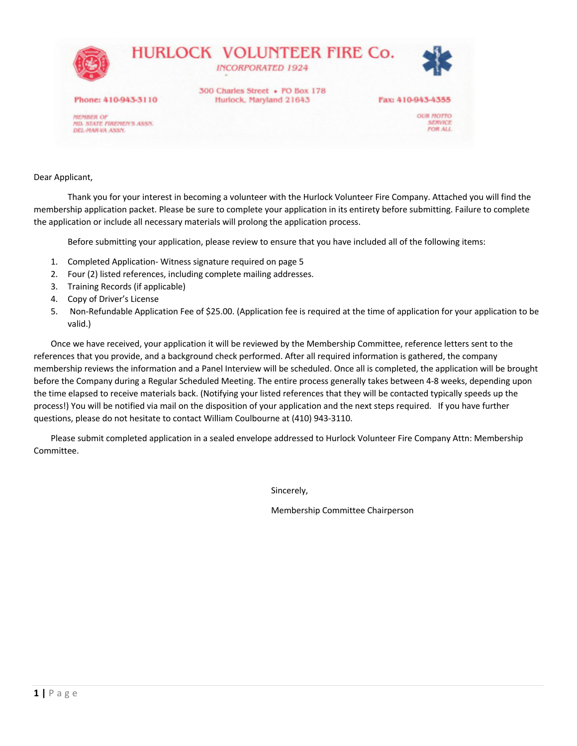

Dear Applicant,

Thank you for your interest in becoming a volunteer with the Hurlock Volunteer Fire Company. Attached you will find the membership application packet. Please be sure to complete your application in its entirety before submitting. Failure to complete the application or include all necessary materials will prolong the application process.

Before submitting your application, please review to ensure that you have included all of the following items:

- 1. Completed Application- Witness signature required on page 5
- 2. Four (2) listed references, including complete mailing addresses.
- 3. Training Records (if applicable)
- 4. Copy of Driver's License
- 5. Non-Refundable Application Fee of \$25.00. (Application fee is required at the time of application for your application to be valid.)

Once we have received, your application it will be reviewed by the Membership Committee, reference letters sent to the references that you provide, and a background check performed. After all required information is gathered, the company membership reviews the information and a Panel Interview will be scheduled. Once all is completed, the application will be brought before the Company during a Regular Scheduled Meeting. The entire process generally takes between 4-8 weeks, depending upon the time elapsed to receive materials back. (Notifying your listed references that they will be contacted typically speeds up the process!) You will be notified via mail on the disposition of your application and the next steps required. If you have further questions, please do not hesitate to contact William Coulbourne at (410) 943-3110.

Please submit completed application in a sealed envelope addressed to Hurlock Volunteer Fire Company Attn: Membership Committee.

Sincerely,

Membership Committee Chairperson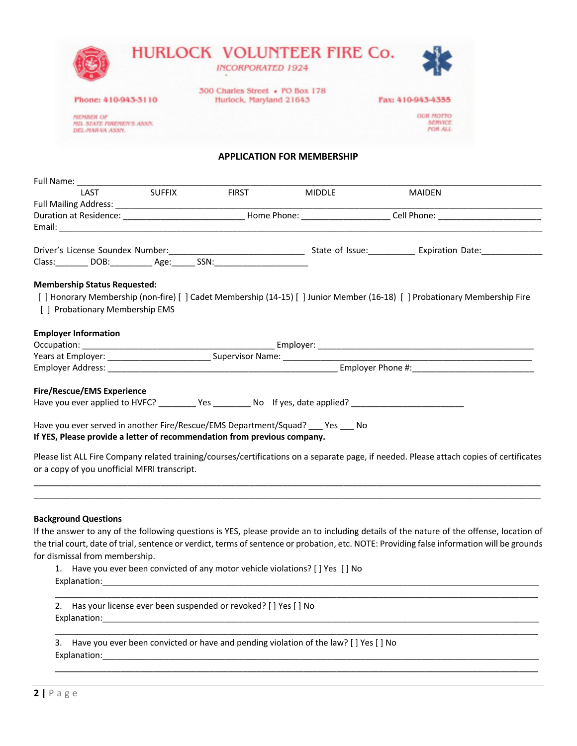|                                                                                                                                                                                                                                                                                                                                |  | <b>INCORPORATED 1924</b>                                   |                                   |                                                                                                                                          |  |
|--------------------------------------------------------------------------------------------------------------------------------------------------------------------------------------------------------------------------------------------------------------------------------------------------------------------------------|--|------------------------------------------------------------|-----------------------------------|------------------------------------------------------------------------------------------------------------------------------------------|--|
| Phone: 410-943-3110                                                                                                                                                                                                                                                                                                            |  | 300 Charles Street • PO Box 178<br>Hurlock, Maryland 21643 |                                   | Fax: 410-943-4355                                                                                                                        |  |
| <b>MEMBER OF</b><br><b>MD. STATE FIREMEN'S ASSN.</b><br>DEL-MAR-VA ASSN.                                                                                                                                                                                                                                                       |  |                                                            |                                   | <b>OUR MOTTO</b><br><b>SERVICE</b><br><b>FOR ALL</b>                                                                                     |  |
|                                                                                                                                                                                                                                                                                                                                |  |                                                            | <b>APPLICATION FOR MEMBERSHIP</b> |                                                                                                                                          |  |
|                                                                                                                                                                                                                                                                                                                                |  |                                                            |                                   |                                                                                                                                          |  |
| Full Name: 1AST SUFFIX                                                                                                                                                                                                                                                                                                         |  | <b>FIRST</b>                                               | <b>MIDDLE</b>                     | MAIDEN                                                                                                                                   |  |
|                                                                                                                                                                                                                                                                                                                                |  |                                                            |                                   |                                                                                                                                          |  |
|                                                                                                                                                                                                                                                                                                                                |  |                                                            |                                   |                                                                                                                                          |  |
|                                                                                                                                                                                                                                                                                                                                |  |                                                            |                                   |                                                                                                                                          |  |
| Class: DOB: Age: SSN:                                                                                                                                                                                                                                                                                                          |  |                                                            |                                   |                                                                                                                                          |  |
| <b>Employer Information</b>                                                                                                                                                                                                                                                                                                    |  |                                                            |                                   |                                                                                                                                          |  |
|                                                                                                                                                                                                                                                                                                                                |  |                                                            |                                   |                                                                                                                                          |  |
| Fire/Rescue/EMS Experience                                                                                                                                                                                                                                                                                                     |  |                                                            |                                   |                                                                                                                                          |  |
|                                                                                                                                                                                                                                                                                                                                |  |                                                            |                                   |                                                                                                                                          |  |
| Have you ever applied to HVFC? __________ Yes __________ No lf yes, date applied? ____________________________<br>Have you ever served in another Fire/Rescue/EMS Department/Squad? ___ Yes ___ No<br>If YES, Please provide a letter of recommendation from previous company.<br>or a copy of you unofficial MFRI transcript. |  |                                                            |                                   | Please list ALL Fire Company related training/courses/certifications on a separate page, if needed. Please attach copies of certificates |  |

3. Have you ever been convicted or have and pending violation of the law? [ ] Yes [ ] No Explanation:\_\_\_\_\_\_\_\_\_\_\_\_\_\_\_\_\_\_\_\_\_\_\_\_\_\_\_\_\_\_\_\_\_\_\_\_\_\_\_\_\_\_\_\_\_\_\_\_\_\_\_\_\_\_\_\_\_\_\_\_\_\_\_\_\_\_\_\_\_\_\_\_\_\_\_\_\_\_\_\_\_\_\_\_\_\_\_\_\_\_\_\_\_

\_\_\_\_\_\_\_\_\_\_\_\_\_\_\_\_\_\_\_\_\_\_\_\_\_\_\_\_\_\_\_\_\_\_\_\_\_\_\_\_\_\_\_\_\_\_\_\_\_\_\_\_\_\_\_\_\_\_\_\_\_\_\_\_\_\_\_\_\_\_\_\_\_\_\_\_\_\_\_\_\_\_\_\_\_\_\_\_\_\_\_\_\_\_\_\_\_\_\_\_\_\_\_

\_\_\_\_\_\_\_\_\_\_\_\_\_\_\_\_\_\_\_\_\_\_\_\_\_\_\_\_\_\_\_\_\_\_\_\_\_\_\_\_\_\_\_\_\_\_\_\_\_\_\_\_\_\_\_\_\_\_\_\_\_\_\_\_\_\_\_\_\_\_\_\_\_\_\_\_\_\_\_\_\_\_\_\_\_\_\_\_\_\_\_\_\_\_\_\_\_\_\_\_\_\_\_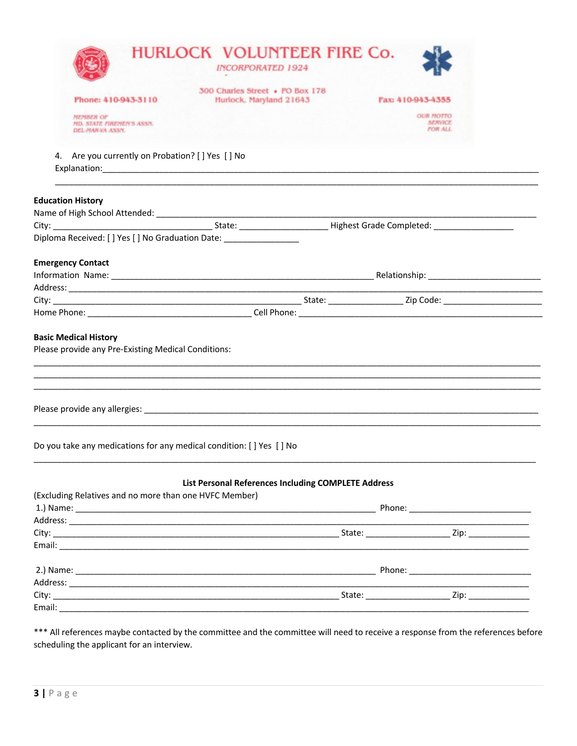|                                                                                                                                                              | 300 Charles Street • PO Box 178                     |                                                      |
|--------------------------------------------------------------------------------------------------------------------------------------------------------------|-----------------------------------------------------|------------------------------------------------------|
| Phone: 410-943-3110                                                                                                                                          | Hurlock, Maryland 21643                             | Fax: 410-943-4355                                    |
| <b>MEMBER OF</b><br><b>MD. STATE FIREMEN'S ASSN.</b><br>DEL-MAR-VA ASSN.                                                                                     |                                                     | <b>OUR MOTTO</b><br><b>SERVICE</b><br><b>FOR ALL</b> |
| 4. Are you currently on Probation? [ ] Yes [ ] No                                                                                                            |                                                     |                                                      |
| <b>Education History</b>                                                                                                                                     |                                                     |                                                      |
|                                                                                                                                                              |                                                     |                                                      |
|                                                                                                                                                              |                                                     |                                                      |
| Diploma Received: [ ] Yes [ ] No Graduation Date: ______________________________                                                                             |                                                     |                                                      |
| <b>Emergency Contact</b>                                                                                                                                     |                                                     |                                                      |
|                                                                                                                                                              |                                                     |                                                      |
|                                                                                                                                                              |                                                     |                                                      |
|                                                                                                                                                              |                                                     |                                                      |
|                                                                                                                                                              |                                                     |                                                      |
|                                                                                                                                                              |                                                     |                                                      |
|                                                                                                                                                              |                                                     |                                                      |
|                                                                                                                                                              |                                                     |                                                      |
|                                                                                                                                                              |                                                     |                                                      |
| <b>Basic Medical History</b><br>Please provide any Pre-Existing Medical Conditions:<br>Do you take any medications for any medical condition: [ ] Yes [ ] No | List Personal References Including COMPLETE Address |                                                      |
|                                                                                                                                                              |                                                     |                                                      |
|                                                                                                                                                              |                                                     |                                                      |
|                                                                                                                                                              |                                                     |                                                      |
| (Excluding Relatives and no more than one HVFC Member)                                                                                                       |                                                     |                                                      |
|                                                                                                                                                              |                                                     |                                                      |
|                                                                                                                                                              |                                                     |                                                      |
|                                                                                                                                                              |                                                     |                                                      |

All references maybe contacted by the committee and the committee will need to receive a response from the references before scheduling the applicant for an interview.